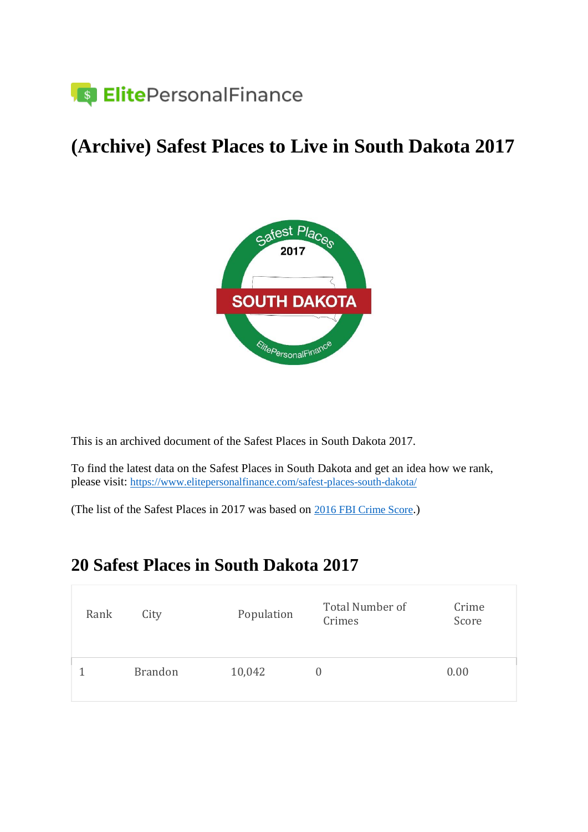

### **(Archive) Safest Places to Live in South Dakota 2017**



This is an archived document of the Safest Places in South Dakota 2017.

To find the latest data on the Safest Places in South Dakota and get an idea how we rank, please visit: <https://www.elitepersonalfinance.com/safest-places-south-dakota/>

(The list of the Safest Places in 2017 was based on [2016 FBI Crime Score](https://ucr.fbi.gov/crime-in-the-u.s/2016/crime-in-the-u.s.-2016).)

#### **20 Safest Places in South Dakota 2017**

| Rank | City           | Population | Total Number of<br>Crimes | Crime<br>Score |
|------|----------------|------------|---------------------------|----------------|
|      | <b>Brandon</b> | 10,042     | O                         | 0.00           |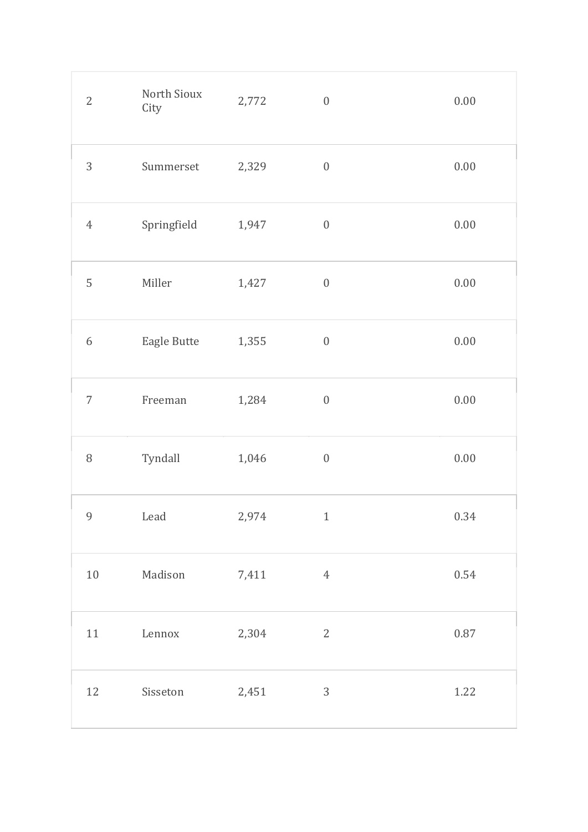| $\overline{2}$   | North Sioux<br>City | 2,772 | $\boldsymbol{0}$ | $0.00\,$ |
|------------------|---------------------|-------|------------------|----------|
| 3                | Summerset           | 2,329 | $\boldsymbol{0}$ | $0.00\,$ |
| $\sqrt{4}$       | Springfield         | 1,947 | $\boldsymbol{0}$ | $0.00\,$ |
| 5                | Miller              | 1,427 | $\boldsymbol{0}$ | $0.00\,$ |
| $\boldsymbol{6}$ | Eagle Butte         | 1,355 | $\boldsymbol{0}$ | $0.00\,$ |
| $\overline{7}$   | Freeman             | 1,284 | $\boldsymbol{0}$ | $0.00\,$ |
| $\, 8$           | Tyndall             | 1,046 | $\boldsymbol{0}$ | $0.00\,$ |
| 9                | Lead                | 2,974 | $\overline{1}$   | 0.34     |
| $10\,$           | Madison             | 7,411 | $\overline{4}$   | 0.54     |
| 11               | Lennox              | 2,304 | $\overline{2}$   | $0.87\,$ |
| 12               | Sisseton            | 2,451 | 3                | 1.22     |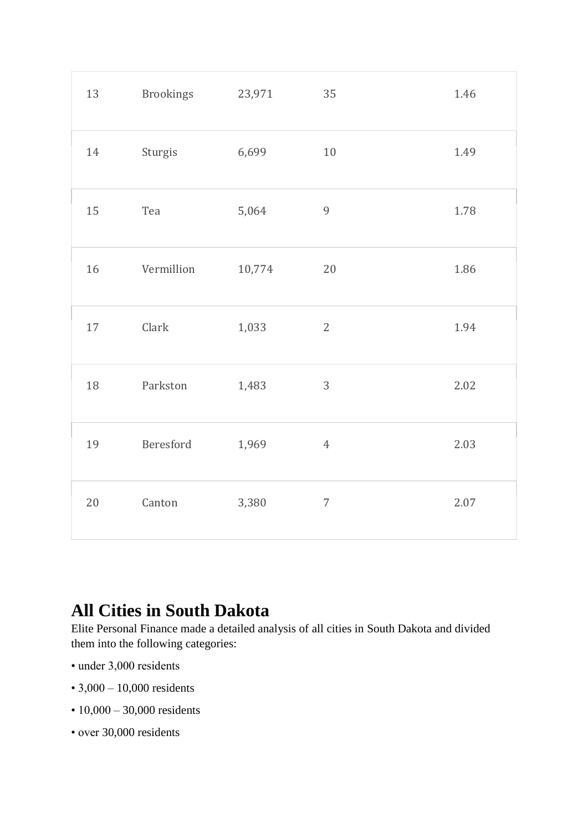| 13     | <b>Brookings</b> | 23,971 | 35             | 1.46 |
|--------|------------------|--------|----------------|------|
| 14     | Sturgis          | 6,699  | $10\,$         | 1.49 |
| 15     | Tea              | 5,064  | 9              | 1.78 |
| 16     | Vermillion       | 10,774 | 20             | 1.86 |
| $17\,$ | Clark            | 1,033  | $\overline{2}$ | 1.94 |
| 18     | Parkston         | 1,483  | 3              | 2.02 |
| 19     | Beresford        | 1,969  | $\overline{4}$ | 2.03 |
| 20     | Canton           | 3,380  | $\overline{7}$ | 2.07 |

#### **All Cities in South Dakota**

Elite Personal Finance made a detailed analysis of all cities in South Dakota and divided them into the following categories:

- under 3,000 residents
- 3,000 10,000 residents
- 10,000 30,000 residents
- over 30,000 residents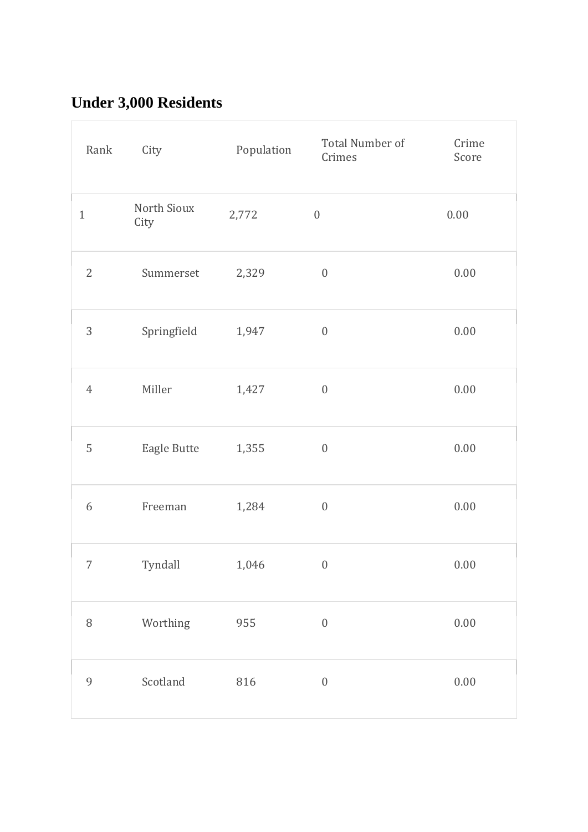## **Under 3,000 Residents**

| Rank             | City                | Population | Total Number of<br>Crimes | Crime<br>Score |
|------------------|---------------------|------------|---------------------------|----------------|
| $\mathbf{1}$     | North Sioux<br>City | 2,772      | $\boldsymbol{0}$          | 0.00           |
| $\sqrt{2}$       | Summerset           | 2,329      | $\boldsymbol{0}$          | $0.00\,$       |
| 3                | Springfield         | 1,947      | $\boldsymbol{0}$          | $0.00\,$       |
| $\ensuremath{4}$ | Miller              | 1,427      | $\boldsymbol{0}$          | $0.00\,$       |
| 5                | Eagle Butte         | 1,355      | $\boldsymbol{0}$          | $0.00\,$       |
| $\boldsymbol{6}$ | Freeman             | 1,284      | $\boldsymbol{0}$          | $0.00\,$       |
| 7                | Tyndall             | 1,046      | $\overline{0}$            | 0.00           |
| $\, 8$           | Worthing            | 955        | $\boldsymbol{0}$          | $0.00\,$       |
| 9                | Scotland            | 816        | $\boldsymbol{0}$          | $0.00\,$       |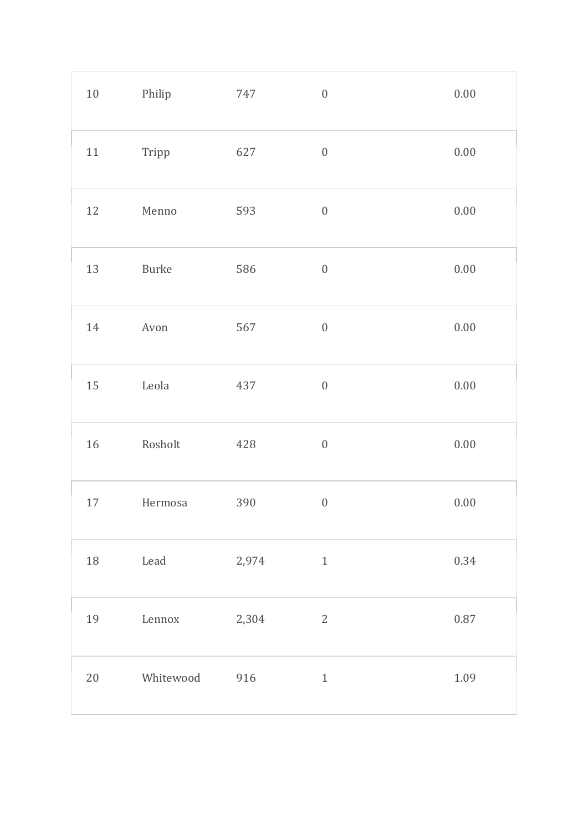| $10\,$ | Philip    | 747   | $\boldsymbol{0}$ | $0.00\,$ |
|--------|-----------|-------|------------------|----------|
| $11\,$ | Tripp     | 627   | $\boldsymbol{0}$ | $0.00\,$ |
| 12     | Menno     | 593   | $\boldsymbol{0}$ | $0.00\,$ |
| 13     | Burke     | 586   | $\boldsymbol{0}$ | $0.00\,$ |
| 14     | Avon      | 567   | $\boldsymbol{0}$ | $0.00\,$ |
| 15     | Leola     | 437   | $\boldsymbol{0}$ | $0.00\,$ |
| 16     | Rosholt   | 428   | $\boldsymbol{0}$ | $0.00\,$ |
| $17\,$ | Hermosa   | 390   | $\boldsymbol{0}$ | $0.00\,$ |
| 18     | Lead      | 2,974 | $\,1\,$          | 0.34     |
| 19     | Lennox    | 2,304 | $\sqrt{2}$       | $0.87\,$ |
| $20\,$ | Whitewood | 916   | $1\,$            | 1.09     |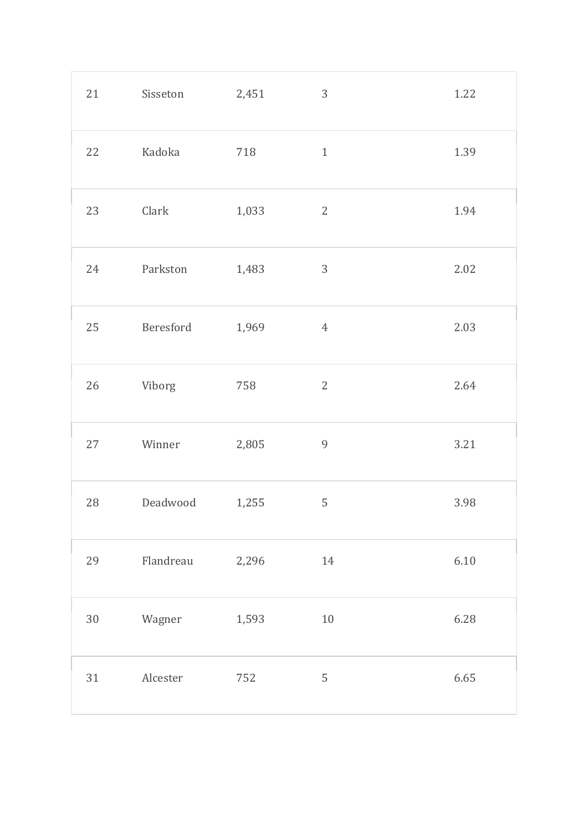| 21     | Sisseton  | 2,451 | $\mathfrak{Z}$ | 1.22     |
|--------|-----------|-------|----------------|----------|
| 22     | Kadoka    | 718   | $1\,$          | 1.39     |
| 23     | Clark     | 1,033 | $\mathbf{2}$   | 1.94     |
| 24     | Parkston  | 1,483 | $\mathfrak{Z}$ | 2.02     |
| 25     | Beresford | 1,969 | $\sqrt{4}$     | 2.03     |
| $26\,$ | Viborg    | 758   | $2\,$          | 2.64     |
| $27\,$ | Winner    | 2,805 | $\overline{9}$ | 3.21     |
| $28\,$ | Deadwood  | 1,255 | 5              | 3.98     |
| 29     | Flandreau | 2,296 | 14             | $6.10\,$ |
| $30\,$ | Wagner    | 1,593 | $10\,$         | 6.28     |
| 31     | Alcester  | 752   | $\mathsf S$    | 6.65     |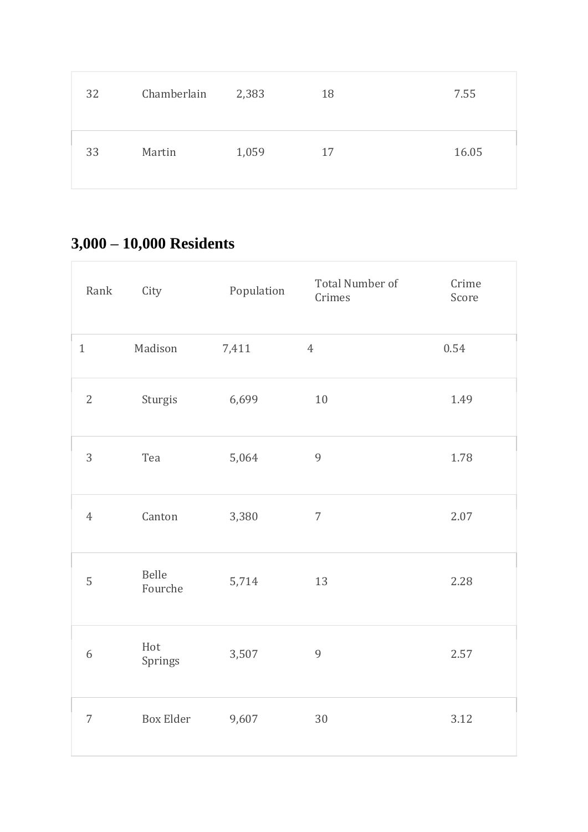| 32 | Chamberlain | 2,383 | 18 | 7.55  |
|----|-------------|-------|----|-------|
| 33 | Martin      | 1,059 | 17 | 16.05 |

## **3,000 – 10,000 Residents**

| Rank           | City             | Population | <b>Total Number of</b><br>Crimes | Crime<br>Score |
|----------------|------------------|------------|----------------------------------|----------------|
| $\mathbf{1}$   | Madison          | 7,411      | $\overline{4}$                   | 0.54           |
| $\mathbf{2}$   | Sturgis          | 6,699      | 10                               | 1.49           |
| 3              | Tea              | 5,064      | $\overline{9}$                   | 1.78           |
| $\overline{4}$ | Canton           | 3,380      | $\overline{7}$                   | 2.07           |
| 5              | Belle<br>Fourche | 5,714      | 13                               | 2.28           |
| 6              | Hot<br>Springs   | 3,507      | 9                                | 2.57           |
| $\overline{7}$ | <b>Box Elder</b> | 9,607      | 30                               | 3.12           |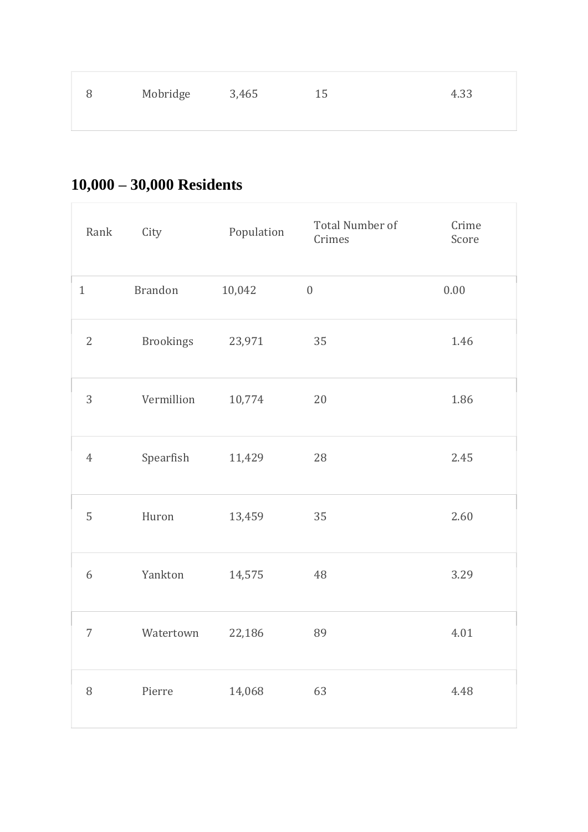| 8 | Mobridge 3,465 | 15 | 4.33 |
|---|----------------|----|------|
|   |                |    |      |

# **10,000 – 30,000 Residents**

| Rank           | City             | Population | Total Number of<br>Crimes | Crime<br>Score |
|----------------|------------------|------------|---------------------------|----------------|
| $\mathbf{1}$   | <b>Brandon</b>   | 10,042     | $\boldsymbol{0}$          | $0.00\,$       |
| $\overline{2}$ | <b>Brookings</b> | 23,971     | 35                        | 1.46           |
| 3              | Vermillion       | 10,774     | 20                        | 1.86           |
| $\overline{4}$ | Spearfish        | 11,429     | 28                        | 2.45           |
| 5              | Huron            | 13,459     | 35                        | 2.60           |
| 6              | Yankton          | 14,575     | 48                        | 3.29           |
| 7              | Watertown        | 22,186     | 89                        | 4.01           |
| $\, 8$         | Pierre           | 14,068     | 63                        | 4.48           |